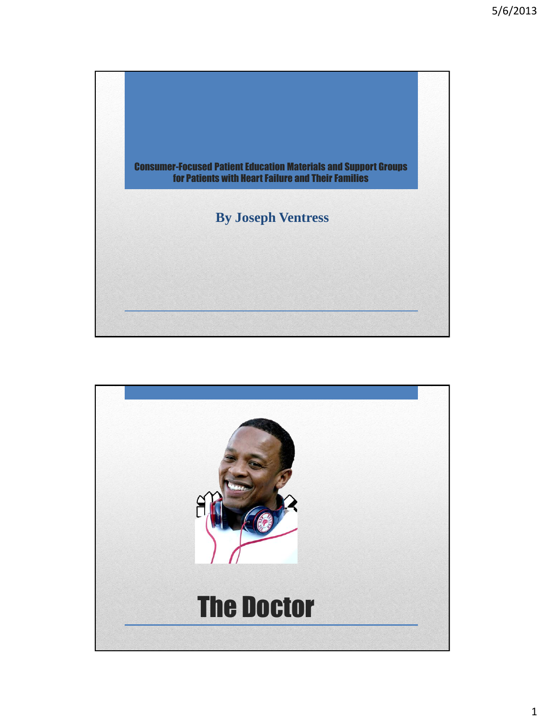

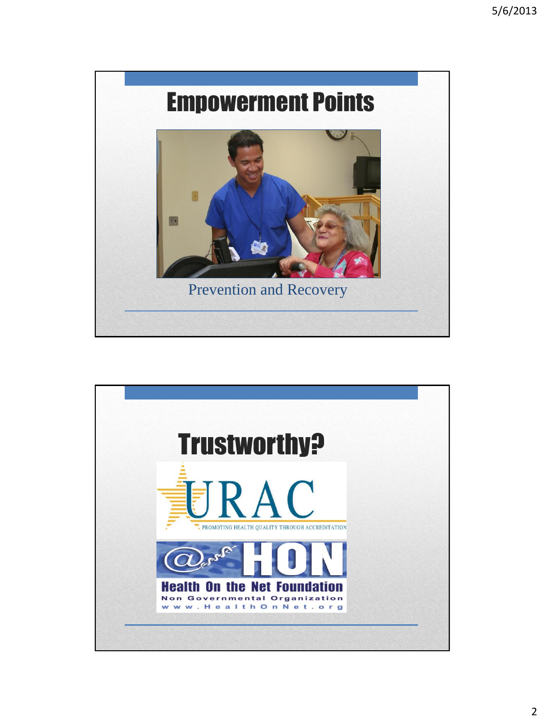

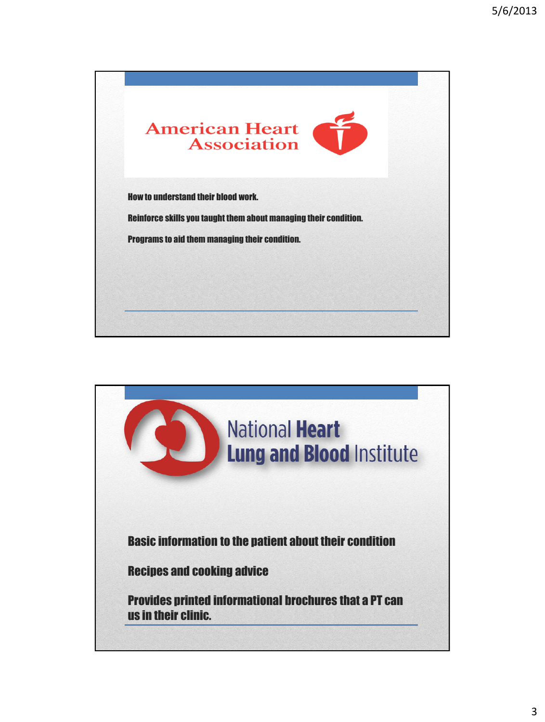

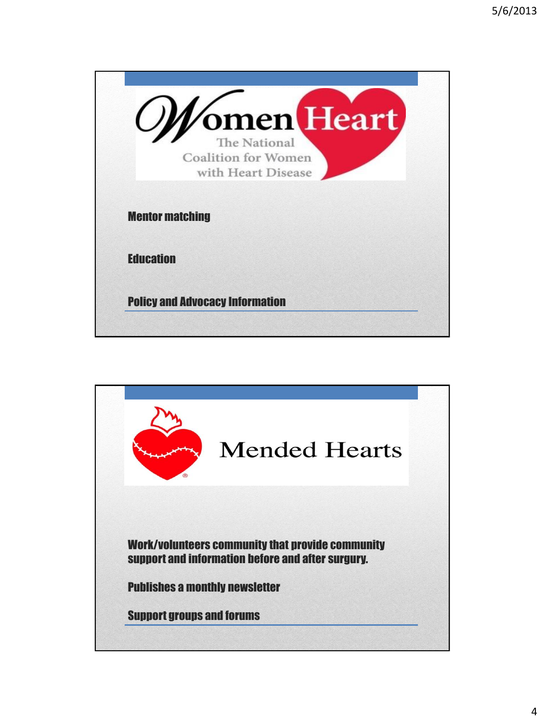